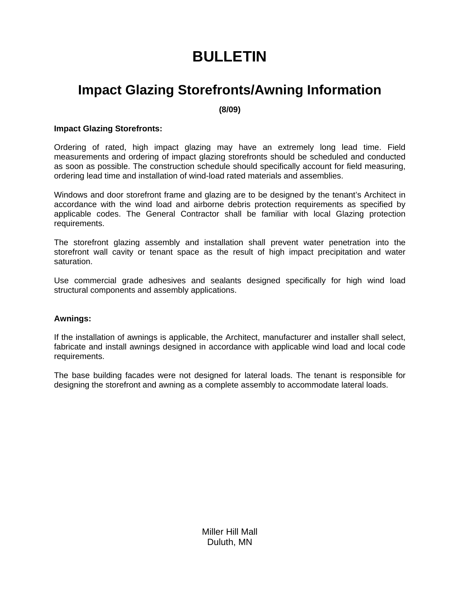# **BULLETIN**

### **Impact Glazing Storefronts/Awning Information**

**(8/09)** 

#### **Impact Glazing Storefronts:**

Ordering of rated, high impact glazing may have an extremely long lead time. Field measurements and ordering of impact glazing storefronts should be scheduled and conducted as soon as possible. The construction schedule should specifically account for field measuring, ordering lead time and installation of wind-load rated materials and assemblies.

Windows and door storefront frame and glazing are to be designed by the tenant's Architect in accordance with the wind load and airborne debris protection requirements as specified by applicable codes. The General Contractor shall be familiar with local Glazing protection requirements.

The storefront glazing assembly and installation shall prevent water penetration into the storefront wall cavity or tenant space as the result of high impact precipitation and water saturation.

Use commercial grade adhesives and sealants designed specifically for high wind load structural components and assembly applications.

#### **Awnings:**

If the installation of awnings is applicable, the Architect, manufacturer and installer shall select, fabricate and install awnings designed in accordance with applicable wind load and local code requirements.

The base building facades were not designed for lateral loads. The tenant is responsible for designing the storefront and awning as a complete assembly to accommodate lateral loads.

> Miller Hill Mall Duluth, MN